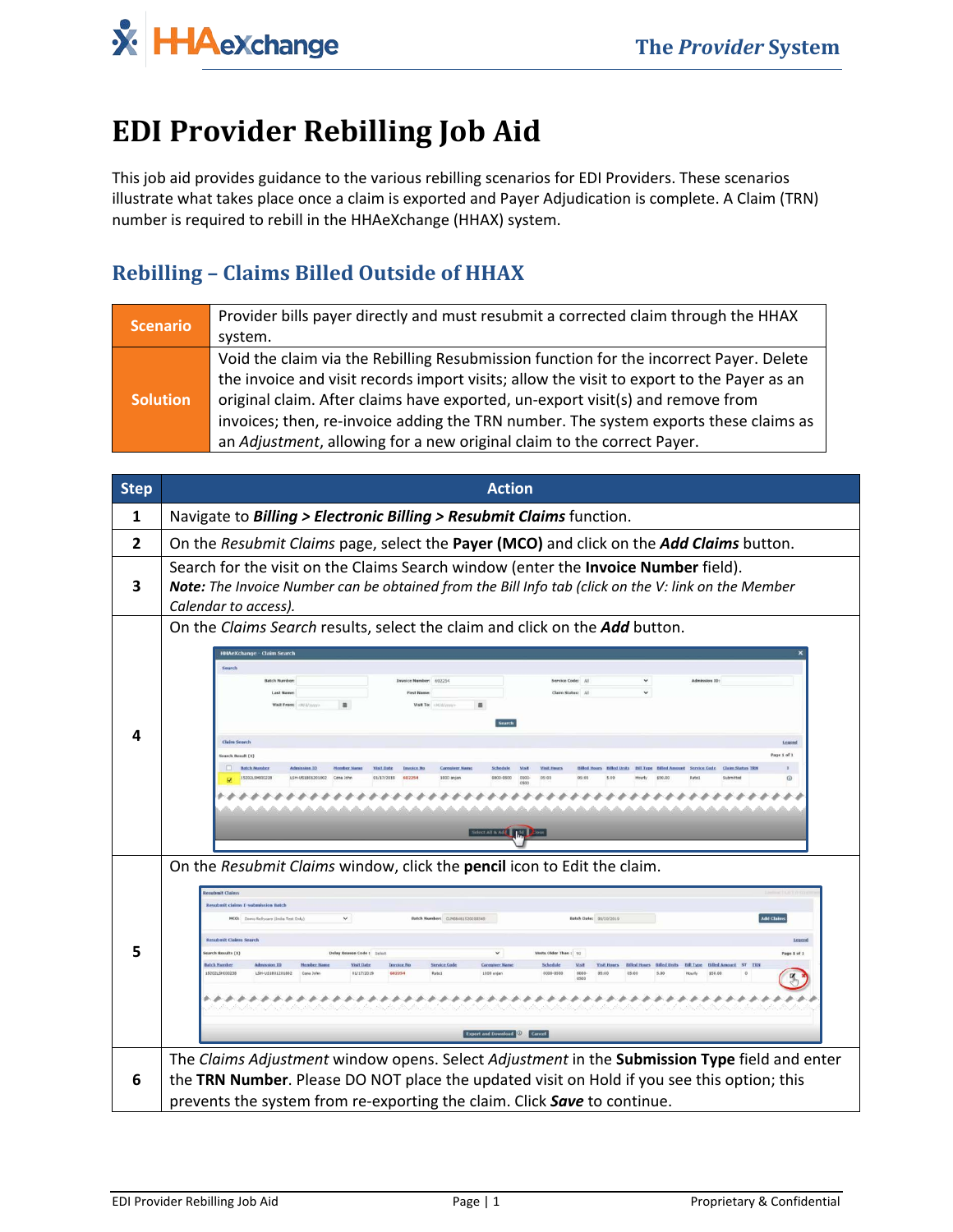**X** HAeXchange

# **EDI Provider Rebilling Job Aid**

This job aid provides guidance to the various rebilling scenarios for EDI Providers. These scenarios illustrate what takes place once a claim is exported and Payer Adjudication is complete. A Claim (TRN) number is required to rebill in the HHAeXchange (HHAX) system.

#### **Rebilling – Claims Billed Outside of HHAX**

| <b>Scenario</b> | Provider bills payer directly and must resubmit a corrected claim through the HHAX        |
|-----------------|-------------------------------------------------------------------------------------------|
|                 | system.                                                                                   |
|                 | Void the claim via the Rebilling Resubmission function for the incorrect Payer. Delete    |
|                 | the invoice and visit records import visits; allow the visit to export to the Payer as an |
| <b>Solution</b> | original claim. After claims have exported, un-export visit(s) and remove from            |
|                 | invoices; then, re-invoice adding the TRN number. The system exports these claims as      |
|                 | an Adjustment, allowing for a new original claim to the correct Payer.                    |

| <b>Step</b> | <b>Action</b>                                                                                                                                                                                                                                                                                                                                                                                                                                                                                                                                                                                                                                                                                                                                                                              |
|-------------|--------------------------------------------------------------------------------------------------------------------------------------------------------------------------------------------------------------------------------------------------------------------------------------------------------------------------------------------------------------------------------------------------------------------------------------------------------------------------------------------------------------------------------------------------------------------------------------------------------------------------------------------------------------------------------------------------------------------------------------------------------------------------------------------|
| 1           | Navigate to Billing > Electronic Billing > Resubmit Claims function.                                                                                                                                                                                                                                                                                                                                                                                                                                                                                                                                                                                                                                                                                                                       |
| 2           | On the Resubmit Claims page, select the Payer (MCO) and click on the Add Claims button.                                                                                                                                                                                                                                                                                                                                                                                                                                                                                                                                                                                                                                                                                                    |
| 3           | Search for the visit on the Claims Search window (enter the Invoice Number field).<br>Note: The Invoice Number can be obtained from the Bill Info tab (click on the V: link on the Member<br>Calendar to access).                                                                                                                                                                                                                                                                                                                                                                                                                                                                                                                                                                          |
| Δ           | On the Claims Search results, select the claim and click on the Add button.<br><b>HHAcXchange - Claim Search</b><br>Search<br><b>Batch Number</b><br>voice Number: 602254<br>Service Code: All<br><b>Admission ID</b><br>$\ddot{ }$<br>Visit To:<br>Visit To:<br>Visit From: 1960/Shoppy<br><b>Search</b><br>                                                                                                                                                                                                                                                                                                                                                                                                                                                                              |
| 5           | On the Resubmit Claims window, click the pencil icon to Edit the claim.<br>submit Claims<br><b>Resubmit claims E-submission Batch</b><br>Batch Numbers CLM08481520200340<br>Batch Date: 01/20/2019<br><b>Add Claim</b><br>MCO: Demo Relivcare (India Test Osly)<br><b>Resubmit Claims Search</b><br>Legend<br>earch Besults (1)<br>Delay Reason Code : Salect<br>$\checkmark$<br>Page 1 of 1<br>Visits Older Than :<br><b>Batch Number</b><br><b>Admission ID</b><br><b>Carcuiver Name</b><br>ST TRN<br><b>Hember Name</b><br>Visit Date<br><b>Invoice No</b><br><b>Service Code</b><br>Schedule<br><b>Visit Hours</b><br><b>Billed Hours</b> Billed Units<br><b>Bill Type</b><br>15202LSH100238<br>LSH-US1801201602<br>01/17/2019<br>602254<br>1000 anjar<br>Export and Download O Cancel |
| 6           | The Claims Adjustment window opens. Select Adjustment in the Submission Type field and enter<br>the TRN Number. Please DO NOT place the updated visit on Hold if you see this option; this<br>prevents the system from re-exporting the claim. Click <b>Save</b> to continue.                                                                                                                                                                                                                                                                                                                                                                                                                                                                                                              |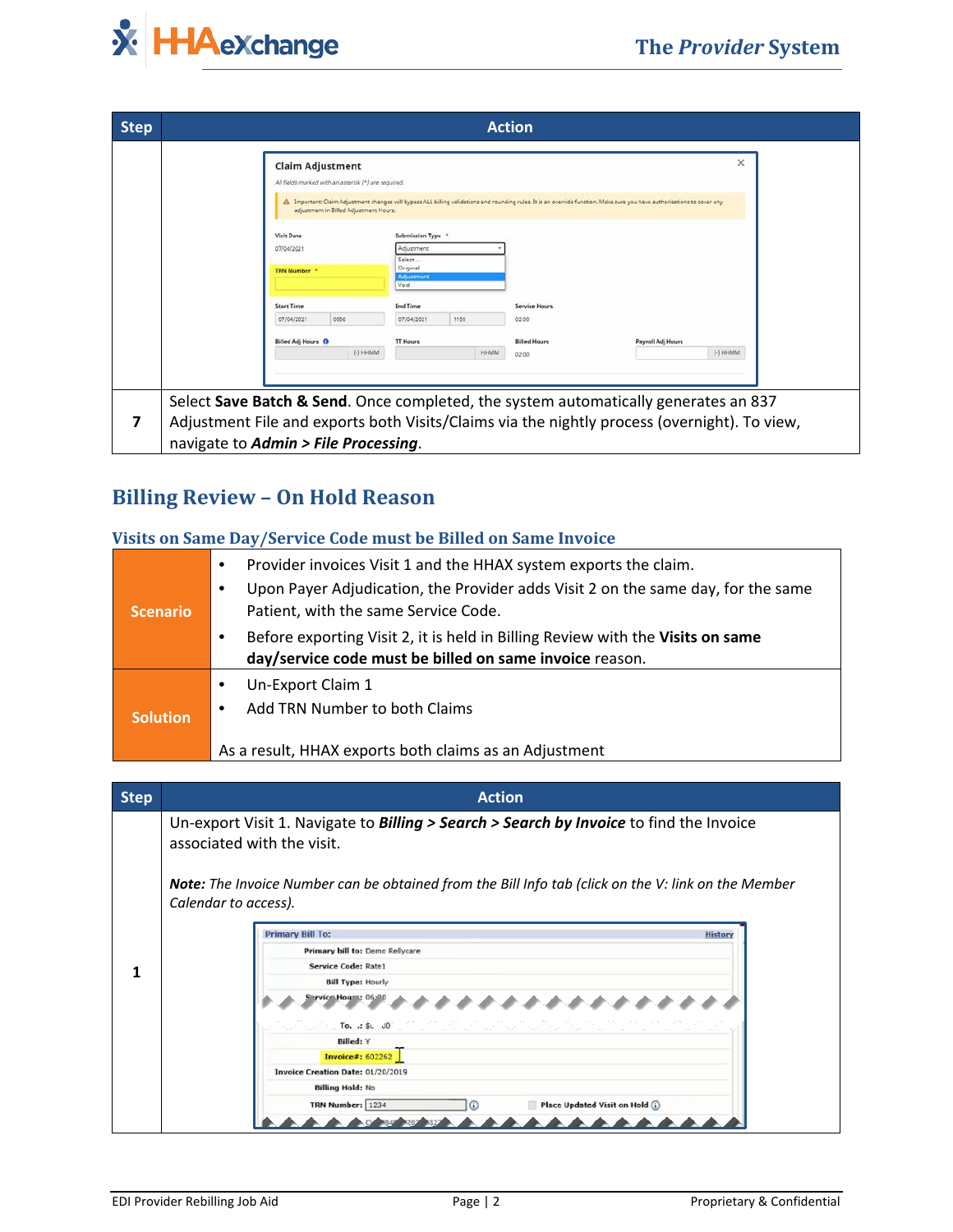

| <b>Step</b> |                                                                                                                                                                                                                              | <b>Action</b>                                                                                                                                                                                                                                                                                                                          |
|-------------|------------------------------------------------------------------------------------------------------------------------------------------------------------------------------------------------------------------------------|----------------------------------------------------------------------------------------------------------------------------------------------------------------------------------------------------------------------------------------------------------------------------------------------------------------------------------------|
|             | <b>Claim Adjustment</b><br>All fields marked with an asterisk (*) are required.<br>adjustment in Billed Adjustment Hours.<br><b>Visit Date</b><br>07/04/2021<br><b>TRN Number</b><br><b>Start Time</b><br>0956<br>07/04/2021 | ×<br>A Important: Claim Adjustment changes will bypass ALL billing validations and rounding rules. It is an override function. Make sure you have authorizations to cover any<br>Submission Type *<br>Adjustment<br>Select<br>Original<br>Adjustment<br>Void<br><b>End Time</b><br><b>Service Hours</b><br>1159<br>07/04/2021<br>02:00 |
|             | <b>Billed Adj Hours O</b><br>$(-)$ HHMM                                                                                                                                                                                      | <b>TT Hours</b><br><b>Billed Hours</b><br>Payroll Adj Hours<br>$(-)$ HHMM<br><b>HHMM</b><br>02:00                                                                                                                                                                                                                                      |
|             | navigate to Admin > File Processing.                                                                                                                                                                                         | Select Save Batch & Send. Once completed, the system automatically generates an 837<br>Adjustment File and exports both Visits/Claims via the nightly process (overnight). To view,                                                                                                                                                    |

## **Billing Review – On Hold Reason**

| Visits on Same Day/Service Code must be Billed on Same Invoice |                                                                                                                                           |
|----------------------------------------------------------------|-------------------------------------------------------------------------------------------------------------------------------------------|
|                                                                | Provider invoices Visit 1 and the HHAX system exports the claim.<br>٠                                                                     |
| <b>Scenario</b>                                                | Upon Payer Adjudication, the Provider adds Visit 2 on the same day, for the same<br>٠<br>Patient, with the same Service Code.             |
|                                                                | Before exporting Visit 2, it is held in Billing Review with the Visits on same<br>day/service code must be billed on same invoice reason. |
|                                                                | Un-Export Claim 1<br>٠                                                                                                                    |
| <b>Solution</b>                                                | Add TRN Number to both Claims<br>٠                                                                                                        |
|                                                                | As a result, HHAX exports both claims as an Adjustment                                                                                    |

| <b>Action</b>                                                                                                                                                                                                                                                            |
|--------------------------------------------------------------------------------------------------------------------------------------------------------------------------------------------------------------------------------------------------------------------------|
| Un-export Visit 1. Navigate to <i>Billing &gt; Search &gt; Search by Invoice</i> to find the Invoice<br>associated with the visit.<br><b>Note:</b> The Invoice Number can be obtained from the Bill Info tab (click on the V: link on the Member<br>Calendar to access). |
| <b>Primary Bill To:</b><br><b>Histon</b><br>Primary bill to: Demo Rellycare                                                                                                                                                                                              |
| Service Code: Rate1<br><b>Bill Type: Hourly</b><br>rvice Hours: 06:90<br>$To \land$ $\&$                                                                                                                                                                                 |
| Billed: Y<br>Invoice#: 602262<br>Invoice Creation Date: 01/20/2019<br><b>Billing Hold: No</b><br><b>TRN Number: 1234</b><br>$\Omega$<br><b>Place Updated Visit on Hold <math>\Omega</math></b>                                                                           |
|                                                                                                                                                                                                                                                                          |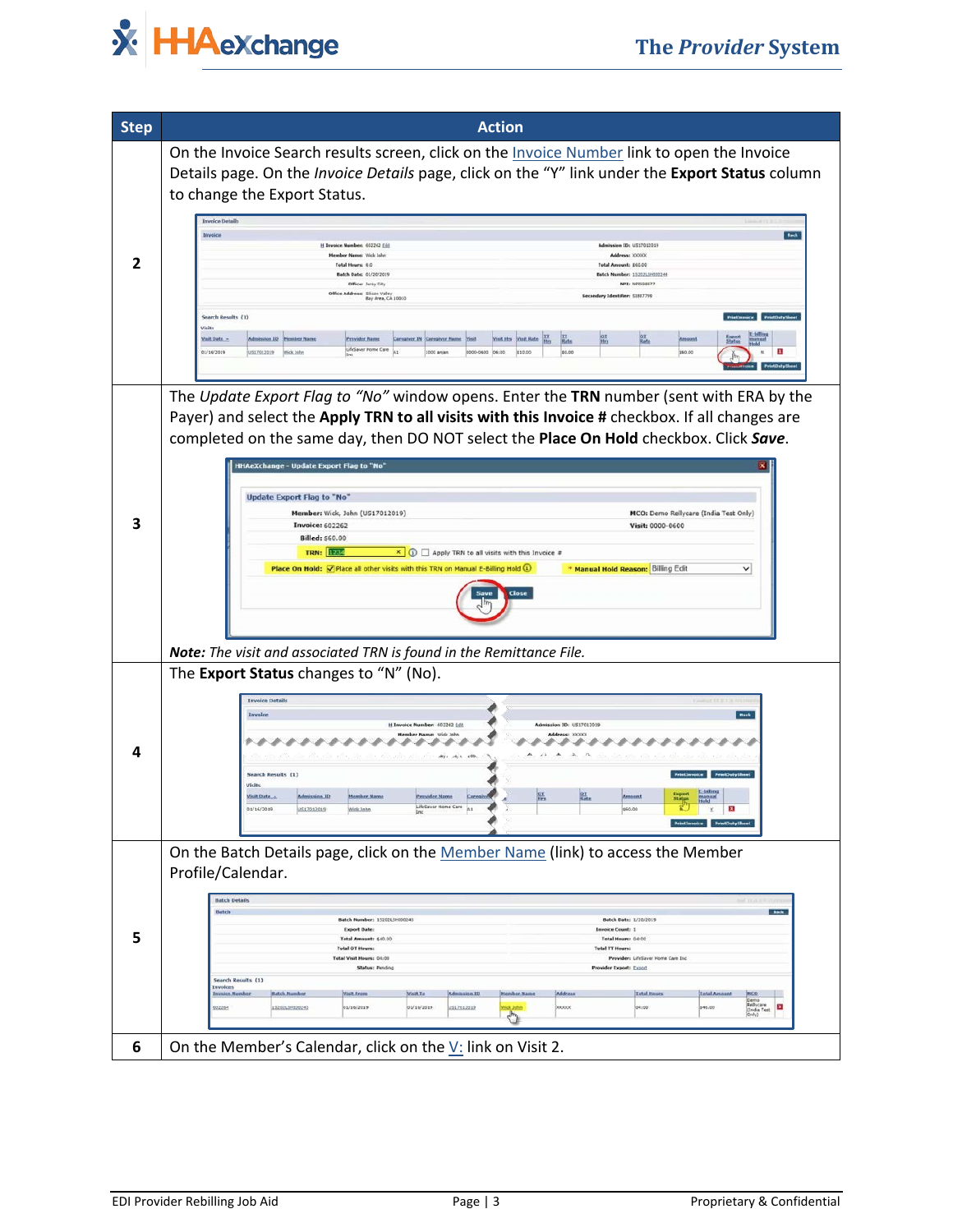

| <b>Step</b> | <b>Action</b>                                                                                                                                                                                                                                                                                                                                                                                                                                                                                                                                                                                                                                                                                                                                      |
|-------------|----------------------------------------------------------------------------------------------------------------------------------------------------------------------------------------------------------------------------------------------------------------------------------------------------------------------------------------------------------------------------------------------------------------------------------------------------------------------------------------------------------------------------------------------------------------------------------------------------------------------------------------------------------------------------------------------------------------------------------------------------|
| 2           | On the Invoice Search results screen, click on the <i>Invoice Number</i> link to open the Invoice<br>Details page. On the Invoice Details page, click on the "Y" link under the Export Status column<br>to change the Export Status.                                                                                                                                                                                                                                                                                                                                                                                                                                                                                                               |
|             | Invoice Details<br><b>Back</b><br>Invoice<br>H Invoice Number: 602262 Edit<br>ssien ID: US17012019<br>Hember Name: Wick John<br>Address: XXXXX<br>Total Amount: 160.00<br>Total Hours: 6:0<br><b>Batch Date: 01/20/2019</b><br>Batch Number: 15202L5H100244<br>NPL: NP0998877<br>Offices Jensy City<br>Office Address: Slicon Valley<br>Secondary Identifier: 51887799<br>Bay Area, CA 10010<br>Search Results (1)<br>Visits<br>區.<br>or<br>ffo<br><b>Yout Hrs</b> Yout Rate He<br>ST.<br><b>Admission ID Hember Name</b><br>Visit Date -<br><b>Provider Name</b><br>Carnatezr.IN Carnatezr Name West<br>Ameen<br>LifeSaver Home Care<br>\$10.00<br>\$0.00<br>01/16/2019<br>Wick John<br>00-0600 06:00<br>\$60.00<br>0517012019<br><b>000 ania</b> |
|             | The Update Export Flag to "No" window opens. Enter the TRN number (sent with ERA by the<br>Payer) and select the Apply TRN to all visits with this Invoice # checkbox. If all changes are<br>completed on the same day, then DO NOT select the Place On Hold checkbox. Click Save.<br>HHAeXchange - Update Export Flag to "No"                                                                                                                                                                                                                                                                                                                                                                                                                     |
| 3           | <b>Update Export Flag to "No"</b><br>Member: Wick, John (US17012019)<br><b>MCO:</b> Demo Rellycare (India Test Only)<br><b>Invoice: 602262</b><br>Visit: 0000-0600<br><b>Billed: \$60.00</b><br><b>TRN:</b> 1234<br>$\mathsf{X}$ (i) Apply TRN to all visits with this Invoice #<br>Place On Hold: Place all other visits with this TRN on Manual E-Billing Hold 1<br>* Manual Hold Reason: Billing Edit<br>$\checkmark$<br>Close                                                                                                                                                                                                                                                                                                                  |
|             | Note: The visit and associated TRN is found in the Remittance File.<br>The Export Status changes to "N" (No).                                                                                                                                                                                                                                                                                                                                                                                                                                                                                                                                                                                                                                      |
| 4           | <b>Invoice Details</b><br><b>Back</b><br>H Invoice Number: 602262 Edit<br>Admission ID: US17012019<br>Hember Name: Wick Joh<br>Address: XXXXX<br>áý.<br>Ash.<br>Search Results (1)<br>Visits<br>巴<br>惡<br>Visit Date -<br>dmission ID<br><b>Member Name</b><br><b>Provider Name</b><br>Caregive<br>01/16/2019<br>US17012019<br> A1<br>\$60.00<br>$\sim$<br>$Y = 2$<br>Printlaneice PrintDutySheet                                                                                                                                                                                                                                                                                                                                                  |
|             | On the Batch Details page, click on the Member Name (link) to access the Member<br>Profile/Calendar.<br><b>Batch Details</b>                                                                                                                                                                                                                                                                                                                                                                                                                                                                                                                                                                                                                       |
| 5           | <b>Back</b><br>Batch<br>Batch Number: 15202L5H100245<br>Batch Date: 1/20/2019<br><b>Export Date</b><br><b>Invoice Count: 1</b><br>Total Amount: \$40.00<br>Total Hours: 04:00<br><b>Total OT Hours:</b><br><b>Total TT Hours</b><br><b>Total Visit Hours: 04:00</b><br>Provider: LifeSaver Home Care Inc.<br>Status: Pending<br>Provider Export: Export<br>Search Results (1)<br><b>Involces</b><br><b>Batch Number</b><br>Misit To<br>Address<br><b>Total Hos</b><br><b>Immoke Nu</b><br>Wisit From<br>Admission ID<br><b>Sombor Nam</b><br>Total A<br><b>HCO</b><br>Deriva<br>Rellycare<br>Cindia Test<br>Cindy]<br>01/16/2019<br>01/16/2019<br>xxxxx<br>\$40.00<br>15202LSH00243<br>US17012019<br>04:00<br>002204<br>G                          |
| 6           | On the Member's Calendar, click on the $V$ : link on Visit 2.                                                                                                                                                                                                                                                                                                                                                                                                                                                                                                                                                                                                                                                                                      |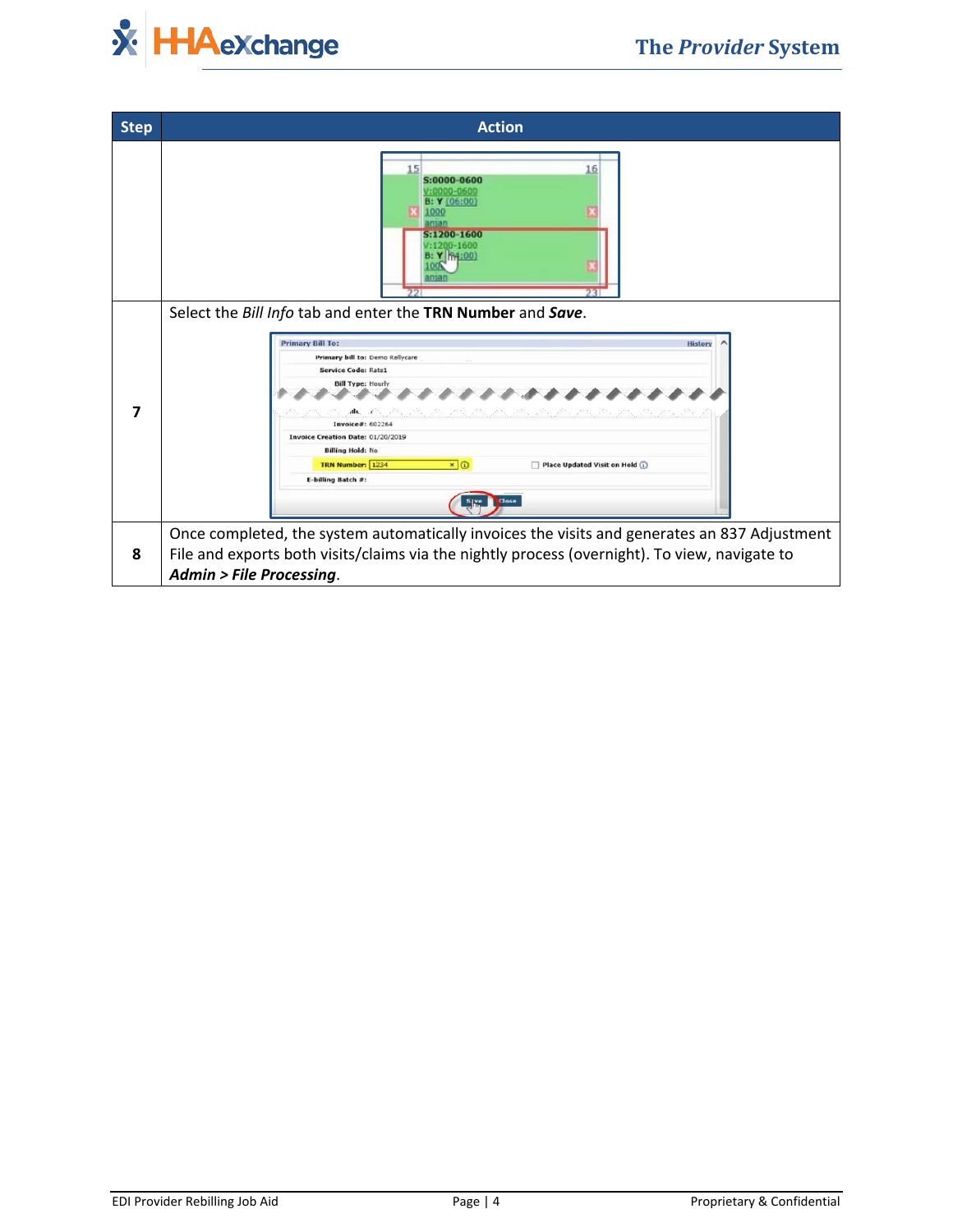

| <b>Step</b> | <b>Action</b>                                                                                                                                                                                                                                                                                                                                                                                            |
|-------------|----------------------------------------------------------------------------------------------------------------------------------------------------------------------------------------------------------------------------------------------------------------------------------------------------------------------------------------------------------------------------------------------------------|
|             | 15<br>16<br>S:0000-0600<br>V:0000-0600<br>B: Y(06:00)<br>1000<br>S:1200-1600<br>41200-1600<br><b>B: Y   R4:00)</b>                                                                                                                                                                                                                                                                                       |
| 7           | Select the Bill Info tab and enter the TRN Number and Save.<br><b>Primary Bill To:</b><br>History<br>Primary bill to: Demo Rellycare<br>Service Code: Rate1<br><b>Bill Type: Hourly</b><br>Invoice#: 602264<br>Invoice Creation Date: 01/20/2019<br><b>Billing Hold: No</b><br>$\times$ 0<br><b>TRN Number: 1234</b><br>$\Box$ Place Updated Visit on Hold $\odot$<br>E-billing Batch #:<br><b>Close</b> |
| 8           | Once completed, the system automatically invoices the visits and generates an 837 Adjustment<br>File and exports both visits/claims via the nightly process (overnight). To view, navigate to<br><b>Admin &gt; File Processing.</b>                                                                                                                                                                      |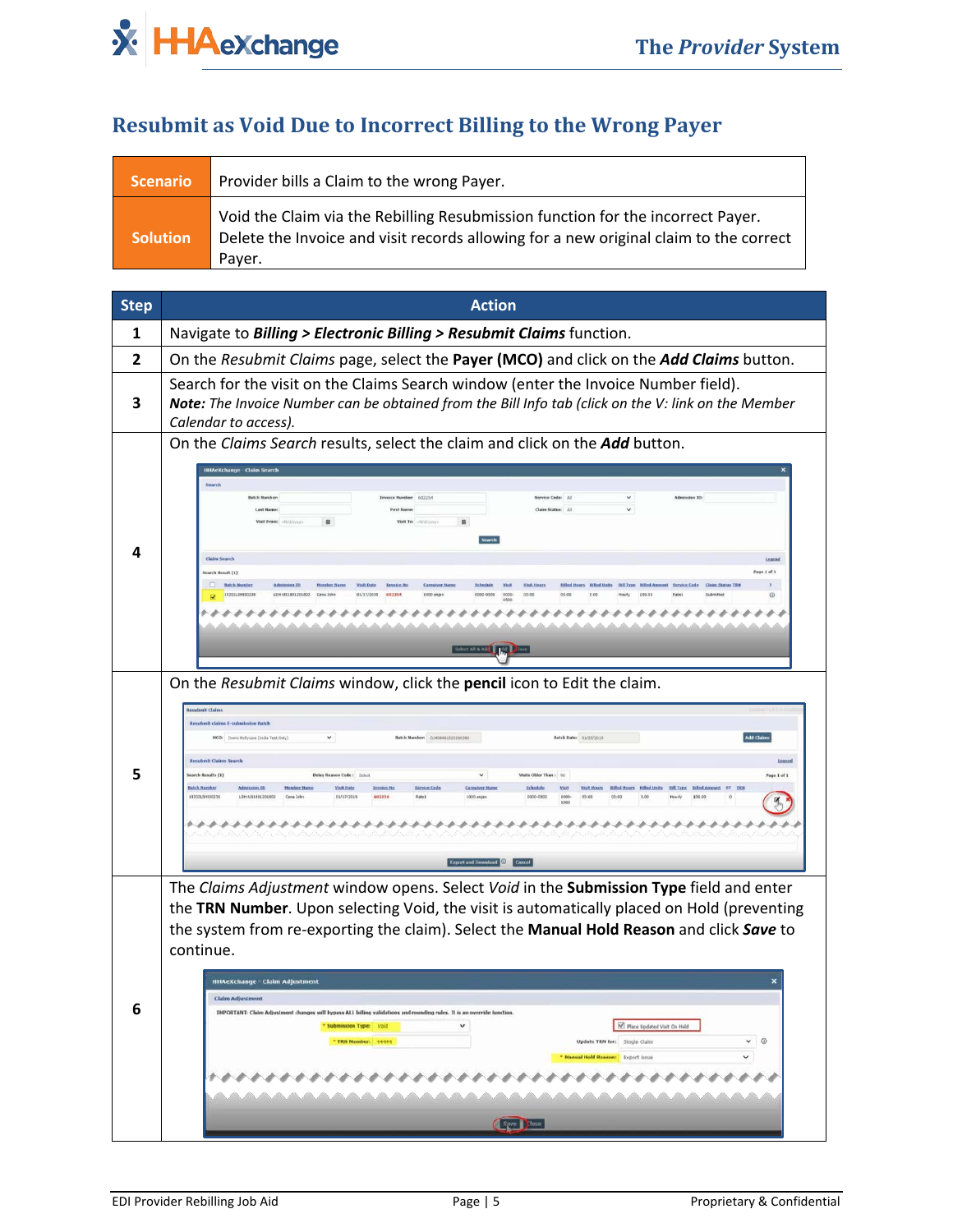

# **Resubmit as Void Due to Incorrect Billing to the Wrong Payer**

| <b>Scenario</b> | Provider bills a Claim to the wrong Payer.                                                                                                                                         |
|-----------------|------------------------------------------------------------------------------------------------------------------------------------------------------------------------------------|
| <b>Solution</b> | Void the Claim via the Rebilling Resubmission function for the incorrect Payer.<br>Delete the Invoice and visit records allowing for a new original claim to the correct<br>Paver. |

| <b>Step</b> | <b>Action</b>                                                                                                                                                                                                                                                                                                                                                                                                                                                                                                                                                                                                                                                                                                                                                                                                                                                          |
|-------------|------------------------------------------------------------------------------------------------------------------------------------------------------------------------------------------------------------------------------------------------------------------------------------------------------------------------------------------------------------------------------------------------------------------------------------------------------------------------------------------------------------------------------------------------------------------------------------------------------------------------------------------------------------------------------------------------------------------------------------------------------------------------------------------------------------------------------------------------------------------------|
| 1           | Navigate to Billing > Electronic Billing > Resubmit Claims function.                                                                                                                                                                                                                                                                                                                                                                                                                                                                                                                                                                                                                                                                                                                                                                                                   |
| 2           | On the Resubmit Claims page, select the Payer (MCO) and click on the Add Claims button.                                                                                                                                                                                                                                                                                                                                                                                                                                                                                                                                                                                                                                                                                                                                                                                |
| З           | Search for the visit on the Claims Search window (enter the Invoice Number field).<br>Note: The Invoice Number can be obtained from the Bill Info tab (click on the V: link on the Member<br>Calendar to access).                                                                                                                                                                                                                                                                                                                                                                                                                                                                                                                                                                                                                                                      |
| Δ           | On the Claims Search results, select the claim and click on the Add button.<br><b>HHAeXchange - Claim Search</b><br>Search<br><b>Batch Number</b><br>Invoice Number: 602254<br>Service Code: All<br><b>Admission ID:</b><br><b>Last Name:</b><br><b>First Name</b><br>Claim Status: All<br>Visit From: = N/d/yww<br>Visit To:<br>Visit To:<br><b>Search</b><br><b>Claim Search</b><br>                                                                                                                                                                                                                                                                                                                                                                                                                                                                                 |
| 5           | On the Resubmit Claims window, click the pencil icon to Edit the claim.<br><b>Resubmit Claims</b><br>ubmit claims E-submission Batch<br>MCO: Demo Relivcare (India Test Only).<br>Batch Number: CLM05481520200340<br>Batch Date: 01/20/2019<br>Add Clair<br>submit Claims Search<br>Legend<br><b>Search Results (1)</b><br>Delay Reason Code : Select<br>$\checkmark$<br>Page 1 of 1<br>Visits Older Than:<br><b>Batch Number</b><br><b>Admission ID</b><br><b>Hember Name</b><br><b>Visit Date</b><br><b>Invoice No</b><br><b>Service Code</b><br><b>Caregiver Name</b><br>Schedule<br><b>Visit</b><br>Visit Hours Eilled Hours Billed Units Bill Type Billed Amount ST TRI<br>15202LSH100238<br>LSH-US1801201602<br>602254<br>01/17/2019<br>Rate1<br>0000-0500<br>Cena John<br>1000 anjan<br>05:00<br>05:00<br>5.00<br>,,,,,,,,<br>.<br>Export and Download O Cancel |
| 6           | The Claims Adjustment window opens. Select Void in the Submission Type field and enter<br>the TRN Number. Upon selecting Void, the visit is automatically placed on Hold (preventing<br>the system from re-exporting the claim). Select the Manual Hold Reason and click Save to<br>continue.<br><b>HHAcXchange - Claim Adjustment</b><br>$\boldsymbol{\mathsf{x}}$<br><b>Claim Adjustment</b><br><b>IMPORTANT: Claim Adjustment changes will bypass ALL billing validations and rounding rules. It is an override function</b><br>Place Updated Visit On Hold<br>* Submission Type: Vaid<br>$\check{ }$<br>$\circ$<br>* TRN Number: 44444<br><b>Update TRN for:</b> Single Claim<br>v<br>v<br>" Manual Hold Reason: Export issue<br>$\left($ $\left($ $\right)$ $\right)$                                                                                             |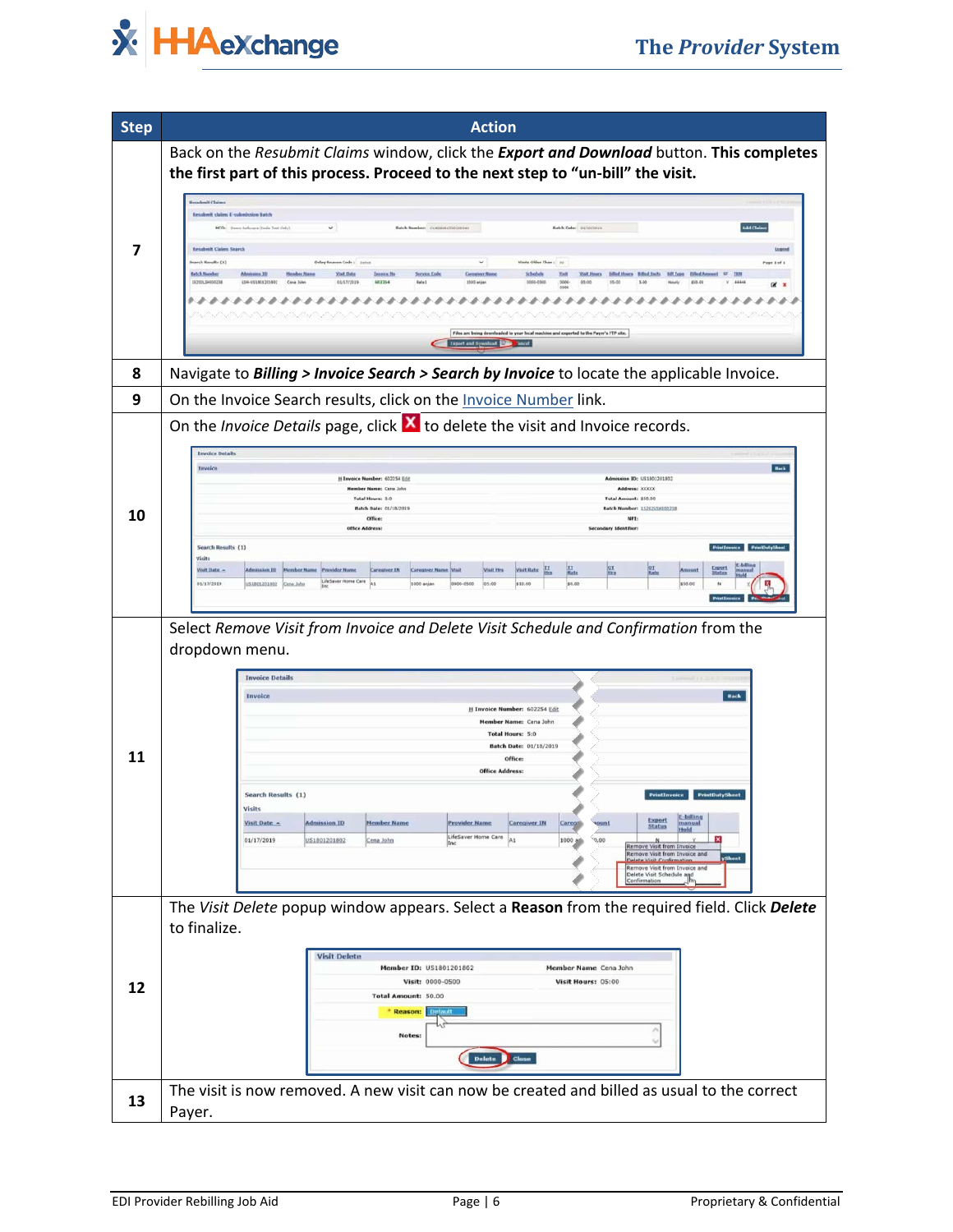

| <b>Step</b> | <b>Action</b>                                                                                                                                                                                                                                                                                                                                                                                                                                                                                                                                                                                                                                                                                                                                                                                                                                                   |
|-------------|-----------------------------------------------------------------------------------------------------------------------------------------------------------------------------------------------------------------------------------------------------------------------------------------------------------------------------------------------------------------------------------------------------------------------------------------------------------------------------------------------------------------------------------------------------------------------------------------------------------------------------------------------------------------------------------------------------------------------------------------------------------------------------------------------------------------------------------------------------------------|
|             | Back on the Resubmit Claims window, click the Export and Download button. This completes<br>the first part of this process. Proceed to the next step to "un-bill" the visit.                                                                                                                                                                                                                                                                                                                                                                                                                                                                                                                                                                                                                                                                                    |
| 7           | <b>Ecodenil Claims</b><br><b>Resultmit claims E-submission Batch</b><br><b>Add Chines</b><br>HCO: Dama Referant Doda Test Only)<br>Belch Humbert (Linijians 120202014)<br>Batch Date: 01/30/2019<br>Resubrait Claims Search<br>Logond<br><b>Search Results (3)</b><br>Vints Older Than : 90<br>Delay Reason Code : Sales<br>$\vee$<br>Page 1 of 1<br><b>Belch Hander</b><br>Admission.III<br><b>Hember Name</b><br><b>Yoff Date</b><br>Immics.fta<br>Sucreton Code<br><b>Carrotron Name</b><br>Schedule<br>Yoll YolLinex Bibelitses Mindleds Millan BibelAneed<br>15203154050238<br>LISB GELBERTS 0032<br>Cona John<br>46/17/2019<br>882254<br>Rate1<br>3553 anjari<br>0008-0508<br>0000-<br>05:00<br>05/00<br>5.00<br>Hourly<br>855.00<br>$V$ 48888<br>$\mathbb{R}$ $\times$<br>◢                                                                              |
|             | Files are being dounloaded to your local machine and experted to the Payer's FTP site.<br><b>Taport and Openhind ONE</b> Tabled                                                                                                                                                                                                                                                                                                                                                                                                                                                                                                                                                                                                                                                                                                                                 |
| 8           | Navigate to Billing > Invoice Search > Search by Invoice to locate the applicable Invoice.                                                                                                                                                                                                                                                                                                                                                                                                                                                                                                                                                                                                                                                                                                                                                                      |
| 9           | On the Invoice Search results, click on the Invoice Number link.                                                                                                                                                                                                                                                                                                                                                                                                                                                                                                                                                                                                                                                                                                                                                                                                |
|             | On the <i>Invoice Details</i> page, click $\mathbf{\times}$ to delete the visit and Invoice records.                                                                                                                                                                                                                                                                                                                                                                                                                                                                                                                                                                                                                                                                                                                                                            |
| 10          | <b>Invoice Details</b><br>Invoice<br>Back<br>H Invoice Number: 602254 Edit<br><b>Admission ID: US1801201802</b><br><b>Member Name: Cena Juhr</b><br>Address: 330000<br>Tetal Amount: \$55.00<br>Total Hours: 5:0<br>Batch Date: 01/18/2019<br>Batch Number: 1520215HI0023<br><b>Office:</b><br>NPT:<br><b>Office Address:</b><br><b>Secondary Identifier</b><br>Search Results (1)<br>Visits<br>$\frac{\Pi}{\Pi_{\text{old}}}$<br><b>YHR Rate</b> H<br>Visit Date. -<br>U. motestmbA<br><b>Member Name</b><br>Provider Name<br>Caregner.IN<br><b>Sergatvor Name VIsit</b><br>Visit tirs<br>LifeSaver Home Care<br>\$0.00<br>01/17/2019<br>/S1801201802 Cena John<br>1000 anjan<br>0020-0500<br>05:00<br>\$10.00<br>\$50.00                                                                                                                                      |
| 11          | Select Remove Visit from Invoice and Delete Visit Schedule and Confirmation from the<br>dropdown menu.<br><b>Invoice Details</b><br>Back<br>Invoice<br>H Invoice Number: 602254 Edit<br>Member Name: Cena John<br><b>Total Hours: 5:0</b><br>Batch Date: 01/18/2019<br>Office:<br><b>Office Address:</b><br>Search Results (1)<br><b>PrintInvoice</b><br><b>PrintDutySheet</b><br>Visits<br>E-billing<br>Export<br><b>Admission ID</b><br><b>Member Name</b><br>Visit Date -<br><b>Provider Name</b><br><b>Caregiver IN</b><br>Careo<br>tount<br>manual<br><b>Status</b><br>Hold<br>LifeSaver Home Care<br>01/17/2019<br>US1801201802<br>A <sub>1</sub><br>1000 a<br>0.00<br><u>Cena John</u><br>Remove Visit from Invoice<br>Remove Visit from Invoice and<br>elete Visit Confirmat<br>Remove Visit from Invoice and<br>Delete Visit Schedule and<br>firmation |
| 12          | The Visit Delete popup window appears. Select a Reason from the required field. Click Delete<br>to finalize.<br><b>Visit Delete</b><br>Member ID: US1801201802<br>Member Name Cena John<br>Visit: 0000-0500<br>Visit Hours: 05:00<br>Total Amount: 50.00<br><b>Reason:</b><br>Notes:<br>K)<br>Delete <b>Close</b>                                                                                                                                                                                                                                                                                                                                                                                                                                                                                                                                               |
| 13          | The visit is now removed. A new visit can now be created and billed as usual to the correct<br>Payer.                                                                                                                                                                                                                                                                                                                                                                                                                                                                                                                                                                                                                                                                                                                                                           |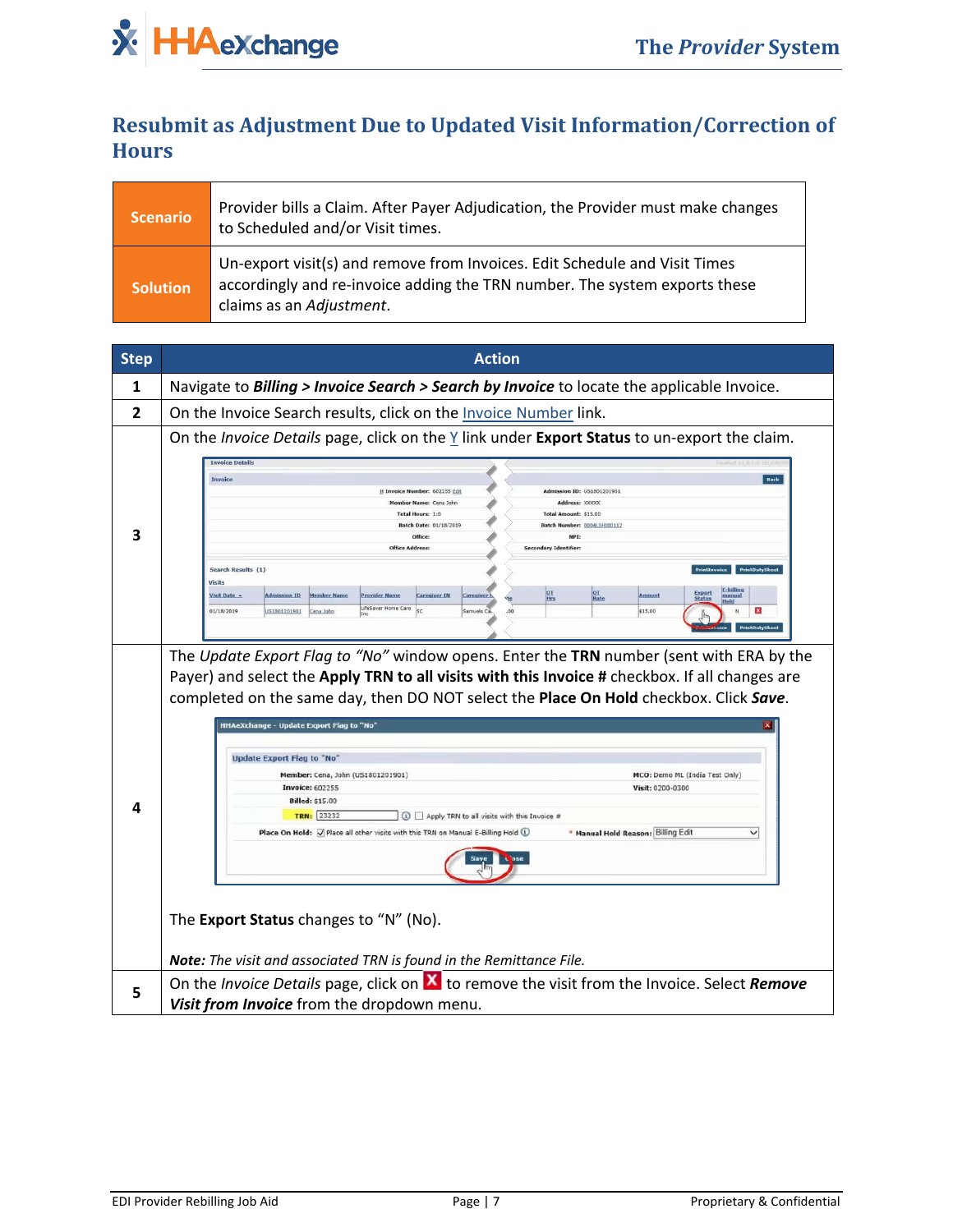### **Resubmit as Adjustment Due to Updated Visit Information/Correction of Hours**

| <b>Scenario</b> | Provider bills a Claim. After Payer Adjudication, the Provider must make changes<br>to Scheduled and/or Visit times.                                                                 |
|-----------------|--------------------------------------------------------------------------------------------------------------------------------------------------------------------------------------|
| <b>Solution</b> | Un-export visit(s) and remove from Invoices. Edit Schedule and Visit Times<br>accordingly and re-invoice adding the TRN number. The system exports these<br>claims as an Adjustment. |

| <b>Step</b> | <b>Action</b>                                                                                                                                                                                                                                                                                                                                                                                                                                                                                                                                                                                                                                                                                                                                                                                                                       |
|-------------|-------------------------------------------------------------------------------------------------------------------------------------------------------------------------------------------------------------------------------------------------------------------------------------------------------------------------------------------------------------------------------------------------------------------------------------------------------------------------------------------------------------------------------------------------------------------------------------------------------------------------------------------------------------------------------------------------------------------------------------------------------------------------------------------------------------------------------------|
| 1           | Navigate to <b>Billing &gt; Invoice Search &gt; Search by Invoice</b> to locate the applicable Invoice.                                                                                                                                                                                                                                                                                                                                                                                                                                                                                                                                                                                                                                                                                                                             |
| 2           | On the Invoice Search results, click on the Invoice Number link.                                                                                                                                                                                                                                                                                                                                                                                                                                                                                                                                                                                                                                                                                                                                                                    |
|             | On the Invoice Details page, click on the Y link under Export Status to un-export the claim.                                                                                                                                                                                                                                                                                                                                                                                                                                                                                                                                                                                                                                                                                                                                        |
| 3           | <b>Invoice Details</b><br><b>Invoice</b><br>Back<br><b>Admission ID: US1801201901</b><br>H Invoice Number: 602255 Edit<br>Member Name: Cena John<br>Address: XXXXX<br><b>Total Hours: 1:0</b><br>Total Amount: \$15.00<br><b>Batch Date: 01/18/2019</b><br>Batch Number: 0004LSHI00112<br>Office:<br>NPT:<br><b>Office Address:</b><br><b>Secondary Identifier:</b><br>Search Results (1)<br>Visits<br>$\frac{\text{or}}{\text{Hrs}}$<br>$rac{OT}{Rate}$<br>Visit Date -<br><b>Admission ID</b><br><b>Member Name</b><br><b>Provider Name</b><br><b>Caregiver IN</b><br>Caregiver <sup>b</sup><br>Amount<br>LifeSaver Home Care<br>01/18/2019<br>SC<br>Samuels Ca<br>US1801201901<br>Cena John<br>\$15.00<br><b>PrintDutySh</b>                                                                                                     |
| Δ           | The Update Export Flag to "No" window opens. Enter the TRN number (sent with ERA by the<br>Payer) and select the Apply TRN to all visits with this Invoice # checkbox. If all changes are<br>completed on the same day, then DO NOT select the Place On Hold checkbox. Click Save.<br>HHAeXchange - Update Export Flag to "No"<br><b>Update Export Flag to "No"</b><br>MCO: Demo ML (India Test Only)<br>Member: Cena, John (US1801201901)<br><b>Invoice: 602255</b><br>Visit: 0200-0300<br><b>Billed: \$15.00</b><br>TRN: 23232<br>4 Apply TRN to all visits with this Invoice #<br>Place On Hold: V Place all other visits with this TRN on Manual E-Billing Hold (1)<br>* Manual Hold Reason: Billing Edit<br>◡<br>The Export Status changes to "N" (No).<br>Note: The visit and associated TRN is found in the Remittance File. |
| 5           | On the <i>Invoice Details</i> page, click on $X$ to remove the visit from the Invoice. Select <b>Remove</b><br>Visit from Invoice from the dropdown menu.                                                                                                                                                                                                                                                                                                                                                                                                                                                                                                                                                                                                                                                                           |